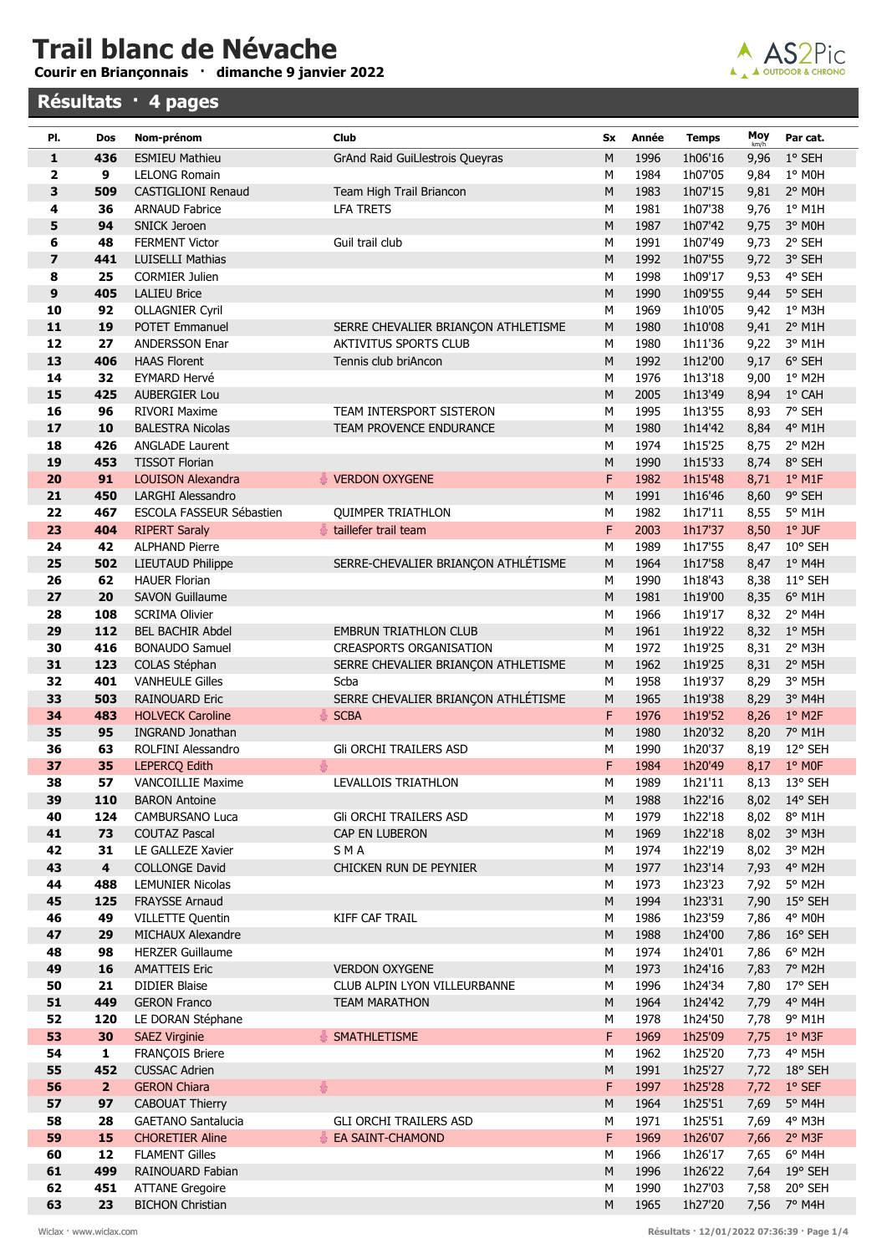## Trail blanc de Névache

Courir en Briançonnais · dimanche 9 janvier 2022

## Résultats · 4 pages



| PI.      | Dos                     | Nom-prénom                                       | <b>Club</b>                         | Sx             | Année        | <b>Temps</b>       | $Moy$ <sub>km/h</sub> | Par cat.                    |
|----------|-------------------------|--------------------------------------------------|-------------------------------------|----------------|--------------|--------------------|-----------------------|-----------------------------|
| 1        | 436                     | <b>ESMIEU Mathieu</b>                            | GrAnd Raid GuiLlestrois Queyras     | M              | 1996         | 1h06'16            | 9,96                  | 1° SEH                      |
| 2        | 9                       | <b>LELONG Romain</b>                             |                                     | M              | 1984         | 1h07'05            | 9,84                  | 1° MOH                      |
| 3        | 509                     | <b>CASTIGLIONI Renaud</b>                        | Team High Trail Briancon            | ${\sf M}$      | 1983         | 1h07'15            | 9,81                  | 2° MOH                      |
| 4        | 36                      | <b>ARNAUD Fabrice</b>                            | <b>LFA TRETS</b>                    | M              | 1981         | 1h07'38            | 9,76                  | $1°$ M1H                    |
| 5        | 94                      | <b>SNICK Jeroen</b>                              |                                     | ${\sf M}$      | 1987         | 1h07'42            | 9,75                  | 3° MOH                      |
| 6        | 48                      | <b>FERMENT Victor</b>                            | Guil trail club                     | M              | 1991         | 1h07'49            | 9,73                  | 2° SEH                      |
| 7        | 441                     | <b>LUISELLI Mathias</b>                          |                                     | M              | 1992         | 1h07'55            | 9,72                  | 3° SEH                      |
| 8        | 25                      | <b>CORMIER Julien</b>                            |                                     | M              | 1998         | 1h09'17            | 9,53                  | 4° SEH                      |
| 9        | 405                     | <b>LALIEU Brice</b>                              |                                     | ${\sf M}$      | 1990         | 1h09'55            | 9,44                  | 5° SEH                      |
| 10       | 92                      | <b>OLLAGNIER Cyril</b>                           |                                     | M              | 1969         | 1h10'05            | 9,42                  | 1° M3H                      |
| 11       | 19                      | <b>POTET Emmanuel</b>                            | SERRE CHEVALIER BRIANÇON ATHLETISME | ${\sf M}$      | 1980         | 1h10'08            | 9,41                  | 2° M1H                      |
| 12       | 27                      | <b>ANDERSSON Enar</b>                            | <b>AKTIVITUS SPORTS CLUB</b>        | M              | 1980         | 1h11'36            | 9,22                  | 3° M1H                      |
| 13       | 406                     | <b>HAAS Florent</b>                              | Tennis club briAncon                | ${\sf M}$      | 1992         | 1h12'00            | 9,17                  | 6° SEH                      |
| 14       | 32                      | EYMARD Hervé                                     |                                     | M              | 1976         | 1h13'18            | 9,00                  | 1° M2H                      |
| 15<br>16 | 425<br>96               | <b>AUBERGIER Lou</b><br><b>RIVORI Maxime</b>     | TEAM INTERSPORT SISTERON            | ${\sf M}$<br>M | 2005<br>1995 | 1h13'49            | 8,94                  | 1° CAH<br>7° SEH            |
| 17       | 10                      | <b>BALESTRA Nicolas</b>                          | <b>TEAM PROVENCE ENDURANCE</b>      | ${\sf M}$      | 1980         | 1h13'55<br>1h14'42 | 8,93<br>8,84          | 4° M1H                      |
| 18       | 426                     | <b>ANGLADE Laurent</b>                           |                                     | M              | 1974         | 1h15'25            | 8,75                  | 2° M2H                      |
| 19       | 453                     | <b>TISSOT Florian</b>                            |                                     | ${\sf M}$      | 1990         | 1h15'33            | 8,74                  | 8° SEH                      |
| 20       | 91                      | <b>LOUISON Alexandra</b>                         | VERDON OXYGENE                      | F              | 1982         | 1h15'48            | 8,71                  | $1°$ M1F                    |
| 21       | 450                     | <b>LARGHI Alessandro</b>                         |                                     | M              | 1991         | 1h16'46            | 8,60                  | 9° SEH                      |
| 22       | 467                     | ESCOLA FASSEUR Sébastien                         | <b>QUIMPER TRIATHLON</b>            | M              | 1982         | 1h17'11            | 8,55                  | 5° M1H                      |
| 23       | 404                     | <b>RIPERT Saraly</b>                             | taillefer trail team                | F              | 2003         | 1h17'37            | 8,50                  | $1°$ JUF                    |
| 24       | 42                      | <b>ALPHAND Pierre</b>                            |                                     | M              | 1989         | 1h17'55            | 8,47                  | 10° SEH                     |
| 25       | 502                     | <b>LIEUTAUD Philippe</b>                         | SERRE-CHEVALIER BRIANÇON ATHLÉTISME | ${\sf M}$      | 1964         | 1h17'58            | 8,47                  | $1°$ M4H                    |
| 26       | 62                      | <b>HAUER Florian</b>                             |                                     | M              | 1990         | 1h18'43            | 8,38                  | $11^{\circ}$ SEH            |
| 27       | 20                      | <b>SAVON Guillaume</b>                           |                                     | ${\sf M}$      | 1981         | 1h19'00            | 8,35                  | 6° M1H                      |
| 28       | 108                     | <b>SCRIMA Olivier</b>                            |                                     | M              | 1966         | 1h19'17            | 8,32                  | 2° M4H                      |
| 29       | 112                     | <b>BEL BACHIR Abdel</b>                          | <b>EMBRUN TRIATHLON CLUB</b>        | ${\sf M}$      | 1961         | 1h19'22            | 8,32                  | $1^{\circ}$ M5H             |
| 30       | 416                     | <b>BONAUDO Samuel</b>                            | <b>CREASPORTS ORGANISATION</b>      | M              | 1972         | 1h19'25            | 8,31                  | 2° M3H                      |
| 31       | 123                     | COLAS Stéphan                                    | SERRE CHEVALIER BRIANÇON ATHLETISME | ${\sf M}$      | 1962         | 1h19'25            | 8,31                  | 2° M5H                      |
| 32       | 401                     | <b>VANHEULE Gilles</b>                           | Scba                                | М              | 1958         | 1h19'37            | 8,29                  | 3° M5H                      |
| 33       | 503                     | <b>RAINOUARD Eric</b>                            | SERRE CHEVALIER BRIANÇON ATHLÉTISME | ${\sf M}$      | 1965         | 1h19'38            | 8,29                  | 3° M4H                      |
| 34       | 483                     | <b>HOLVECK Caroline</b>                          | <b>SCBA</b><br>총                    | F              | 1976         | 1h19'52            | 8,26                  | $1°$ M2F                    |
| 35       | 95                      | <b>INGRAND Jonathan</b>                          |                                     | ${\sf M}$      | 1980         | 1h20'32            | 8,20                  | 7° M1H                      |
| 36<br>37 | 63<br>35                | ROLFINI Alessandro                               | Gli ORCHI TRAILERS ASD<br>용         | M<br>F         | 1990<br>1984 | 1h20'37<br>1h20'49 | 8,19                  | 12° SEH                     |
| 38       | 57                      | <b>LEPERCQ Edith</b><br><b>VANCOILLIE Maxime</b> | LEVALLOIS TRIATHLON                 | M              | 1989         | 1h21'11            | 8,17<br>8,13          | $1^\circ$ MOF<br>13° SEH    |
| 39       | 110                     | <b>BARON Antoine</b>                             |                                     | M              | 1988         | 1h22'16            | 8,02                  | 14° SEH                     |
| 40       | 124                     | <b>CAMBURSANO Luca</b>                           | GII ORCHI TRAILERS ASD              | М              | 1979         | 1h22'18            | 8,02                  | 8° M1H                      |
| 41       | 73                      | <b>COUTAZ Pascal</b>                             | CAP EN LUBERON                      | ${\sf M}$      | 1969         | 1h22'18            | 8,02                  | 3° M3H                      |
| 42       | 31                      | LE GALLEZE Xavier                                | S M A                               | М              | 1974         | 1h22'19            | 8,02                  | 3° M2H                      |
| 43       | $\overline{\mathbf{4}}$ | <b>COLLONGE David</b>                            | CHICKEN RUN DE PEYNIER              | M              | 1977         | 1h23'14            | 7,93                  | 4° M2H                      |
| 44       | 488                     | <b>LEMUNIER Nicolas</b>                          |                                     | М              | 1973         | 1h23'23            | 7,92                  | 5° M2H                      |
| 45       | 125                     | FRAYSSE Arnaud                                   |                                     | ${\sf M}$      | 1994         | 1h23'31            | 7,90                  | 15° SEH                     |
| 46       | 49                      | <b>VILLETTE Quentin</b>                          | KIFF CAF TRAIL                      | M              | 1986         | 1h23'59            | 7,86                  | 4° M0H                      |
| 47       | 29                      | MICHAUX Alexandre                                |                                     | ${\sf M}$      | 1988         | 1h24'00            | 7,86                  | 16° SEH                     |
| 48       | 98                      | <b>HERZER Guillaume</b>                          |                                     | М              | 1974         | 1h24'01            | 7,86                  | 6° M2H                      |
| 49       | 16                      | <b>AMATTEIS Eric</b>                             | <b>VERDON OXYGENE</b>               | ${\sf M}$      | 1973         | 1h24'16            | 7,83                  | 7° M2H                      |
| 50       | 21                      | <b>DIDIER Blaise</b>                             | CLUB ALPIN LYON VILLEURBANNE        | M              | 1996         | 1h24'34            | 7,80                  | 17° SEH                     |
| 51       | 449                     | <b>GERON Franco</b>                              | <b>TEAM MARATHON</b>                | ${\sf M}$      | 1964         | 1h24'42            | 7,79                  | 4° M4H                      |
| 52       | 120                     | LE DORAN Stéphane                                |                                     | M              | 1978         | 1h24'50            | 7,78                  | 9° M1H                      |
| 53       | 30                      | <b>SAEZ Virginie</b>                             | SMATHLETISME                        | F              | 1969         | 1h25'09            | 7,75                  | $1°$ M3F                    |
| 54       | $\mathbf{1}$            | FRANÇOIS Briere                                  |                                     | M              | 1962         | 1h25'20            | 7,73                  | 4° M5H                      |
| 55       | 452                     | <b>CUSSAC Adrien</b>                             |                                     | ${\sf M}$      | 1991         | 1h25'27            | 7,72                  | 18° SEH                     |
| 56       | $\overline{\mathbf{2}}$ | <b>GERON Chiara</b>                              | $\frac{8}{9}$                       | F              | 1997         | 1h25'28            | 7,72                  | $1°$ SEF                    |
| 57       | 97                      | CABOUAT Thierry                                  |                                     | M              | 1964         | 1h25'51            | 7,69                  | 5° M4H                      |
| 58<br>59 | 28<br>15                | <b>GAETANO Santalucia</b>                        | <b>GLI ORCHI TRAILERS ASD</b>       | М<br>F         | 1971         | 1h25'51            | 7,69                  | 4° M3H                      |
| 60       | 12                      | <b>CHORETIER Aline</b><br><b>FLAMENT Gilles</b>  | EA SAINT-CHAMOND                    | M              | 1969<br>1966 | 1h26'07<br>1h26'17 | 7,66<br>7,65          | $2°$ M3F<br>$6^{\circ}$ M4H |
| 61       | 499                     | RAINOUARD Fabian                                 |                                     | M              | 1996         | 1h26'22            | 7,64                  | 19° SEH                     |
| 62       | 451                     | <b>ATTANE Gregoire</b>                           |                                     | M              | 1990         | 1h27'03            | 7,58                  | 20° SEH                     |
| 63       | 23                      | <b>BICHON Christian</b>                          |                                     | ${\sf M}$      | 1965         | 1h27'20            |                       | 7,56 7° M4H                 |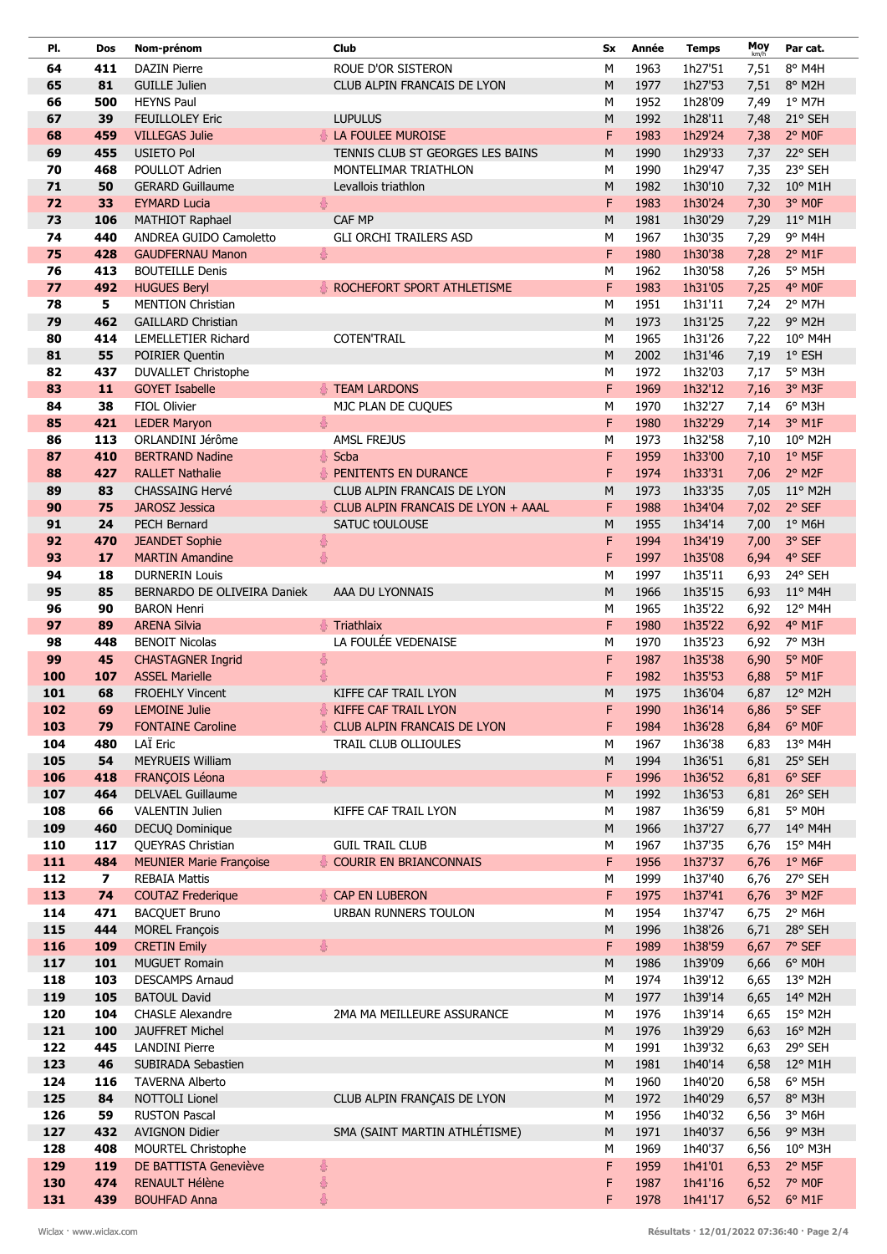| PI.        | Dos                     | Nom-prénom                                        | <b>Club</b>                        | Sx     | Année        | <b>Temps</b>       | Moy          | Par cat.                        |
|------------|-------------------------|---------------------------------------------------|------------------------------------|--------|--------------|--------------------|--------------|---------------------------------|
| 64         | 411                     | <b>DAZIN Pierre</b>                               | ROUE D'OR SISTERON                 | M      | 1963         | 1h27'51            | 7,51         | 8° M4H                          |
| 65         | 81                      | <b>GUILLE Julien</b>                              | CLUB ALPIN FRANCAIS DE LYON        | M      | 1977         | 1h27'53            | 7,51         | 8° M2H                          |
| 66         | 500                     | <b>HEYNS Paul</b>                                 |                                    | M      | 1952         | 1h28'09            | 7,49         | $1°$ M7H                        |
| 67         | 39                      | <b>FEUILLOLEY Eric</b>                            | <b>LUPULUS</b>                     | M      | 1992         | 1h28'11            | 7,48         | 21° SEH                         |
| 68         | 459                     | <b>VILLEGAS Julie</b>                             | 春<br>LA FOULEE MUROISE             | F      | 1983         | 1h29'24            | 7,38         | 2° MOF                          |
| 69         | 455                     | <b>USIETO Pol</b>                                 | TENNIS CLUB ST GEORGES LES BAINS   | M      | 1990         | 1h29'33            | 7,37         | 22° SEH                         |
| 70         | 468                     | POULLOT Adrien                                    | MONTELIMAR TRIATHLON               | M      | 1990         | 1h29'47            | 7,35         | 23° SEH                         |
| 71         | 50                      | <b>GERARD Guillaume</b>                           | Levallois triathlon                | M      | 1982         | 1h30'10            | 7,32         | $10^{\circ}$ M1H                |
| 72         | 33                      | <b>EYMARD Lucia</b>                               | 8                                  | F      | 1983         | 1h30'24            | 7,30         | 3° MOF                          |
| 73         | 106                     | MATHIOT Raphael                                   | CAF MP                             | M      | 1981         | 1h30'29            | 7,29         | $11^{\circ}$ M1H                |
| 74<br>75   | 440<br>428              | ANDREA GUIDO Camoletto<br><b>GAUDFERNAU Manon</b> | <b>GLI ORCHI TRAILERS ASD</b><br>흉 | M<br>F | 1967<br>1980 | 1h30'35<br>1h30'38 | 7,29<br>7,28 | 9° M4H<br>$2°$ M <sub>1</sub> F |
| 76         | 413                     | <b>BOUTEILLE Denis</b>                            |                                    | M      | 1962         | 1h30'58            | 7,26         | 5° M5H                          |
| 77         | 492                     | <b>HUGUES Beryl</b>                               | ROCHEFORT SPORT ATHLETISME         | F      | 1983         | 1h31'05            | 7,25         | 4° MOF                          |
| 78         | 5                       | <b>MENTION Christian</b>                          |                                    | M      | 1951         | 1h31'11            | 7,24         | 2° M7H                          |
| 79         | 462                     | <b>GAILLARD Christian</b>                         |                                    | M      | 1973         | 1h31'25            | 7,22         | 9° M2H                          |
| 80         | 414                     | <b>LEMELLETIER Richard</b>                        | <b>COTEN'TRAIL</b>                 | M      | 1965         | 1h31'26            | 7,22         | $10^{\circ}$ M4H                |
| 81         | 55                      | POIRIER Quentin                                   |                                    | M      | 2002         | 1h31'46            | 7,19         | $1°$ ESH                        |
| 82         | 437                     | <b>DUVALLET Christophe</b>                        |                                    | M      | 1972         | 1h32'03            | 7,17         | 5° M3H                          |
| 83         | 11                      | <b>GOYET Isabelle</b>                             | <b>TEAM LARDONS</b>                | F      | 1969         | 1h32'12            | 7,16         | 3° M3F                          |
| 84         | 38                      | FIOL Olivier                                      | MJC PLAN DE CUQUES                 | M      | 1970         | 1h32'27            | 7,14         | 6° M3H                          |
| 85         | 421                     | <b>LEDER Maryon</b>                               | 8                                  | F      | 1980         | 1h32'29            | 7,14         | 3° M1F                          |
| 86         | 113                     | ORLANDINI Jérôme                                  | <b>AMSL FREJUS</b>                 | M      | 1973         | 1h32'58            | 7,10         | 10° M2H                         |
| 87         | 410                     | <b>BERTRAND Nadine</b>                            | 휾<br>Scba                          | F      | 1959         | 1h33'00            | 7,10         | $1°$ M5F                        |
| 88         | 427                     | <b>RALLET Nathalie</b>                            | PENITENTS EN DURANCE               | F      | 1974         | 1h33'31            | 7,06         | 2° M2F                          |
| 89         | 83                      | <b>CHASSAING Hervé</b>                            | CLUB ALPIN FRANCAIS DE LYON        | M      | 1973         | 1h33'35            | 7,05         | $11^{\circ}$ M2H                |
| 90         | 75                      | <b>JAROSZ Jessica</b>                             | CLUB ALPIN FRANCAIS DE LYON + AAAL | F      | 1988         | 1h34'04            | 7,02         | 2° SEF                          |
| 91<br>92   | 24<br>470               | <b>PECH Bernard</b>                               | SATUC tOULOUSE                     | M<br>F | 1955<br>1994 | 1h34'14<br>1h34'19 | 7,00         | $1°$ M6H<br>3° SEF              |
| 93         | 17                      | <b>JEANDET Sophie</b><br><b>MARTIN Amandine</b>   | 8<br>용                             | F      | 1997         | 1h35'08            | 7,00<br>6,94 | 4° SEF                          |
| 94         | 18                      | <b>DURNERIN Louis</b>                             |                                    | M      | 1997         | 1h35'11            | 6,93         | 24° SEH                         |
| 95         | 85                      | BERNARDO DE OLIVEIRA Daniek                       | AAA DU LYONNAIS                    | M      | 1966         | 1h35'15            | 6,93         | $11^{\circ}$ M4H                |
| 96         | 90                      | <b>BARON Henri</b>                                |                                    | M      | 1965         | 1h35'22            | 6,92         | 12° M4H                         |
| 97         | 89                      | <b>ARENA Silvia</b>                               | Triathlaix                         | F      | 1980         | 1h35'22            | 6,92         | 4° M1F                          |
| 98         | 448                     | <b>BENOIT Nicolas</b>                             | LA FOULÉE VEDENAISE                | M      | 1970         | 1h35'23            | 6,92         | 7° M3H                          |
| 99         | 45                      | <b>CHASTAGNER Ingrid</b>                          | 8                                  | F      | 1987         | 1h35'38            | 6,90         | 5° MOF                          |
| 100        | 107                     | <b>ASSEL Marielle</b>                             | 8                                  | F      | 1982         | 1h35'53            | 6,88         | 5° M1F                          |
| 101        | 68                      | <b>FROEHLY Vincent</b>                            | KIFFE CAF TRAIL LYON               | M      | 1975         | 1h36'04            | 6,87         | $12^{\circ}$ M2H                |
| 102        | 69                      | LEMOINE Julie                                     | KIFFE CAF TRAIL LYON               | F.     | 1990         | 1h36'14            |              | 6,86 $5^{\circ}$ SEF            |
| 103        | 79                      | <b>FONTAINE Caroline</b>                          | CLUB ALPIN FRANCAIS DE LYON        | F      | 1984         | 1h36'28            | 6,84         | 6° MOF                          |
| 104        | 480                     | LAÏ Eric                                          | TRAIL CLUB OLLIOULES               | М      | 1967         | 1h36'38            | 6,83         | 13° M4H                         |
| 105        | 54                      | <b>MEYRUEIS William</b>                           |                                    | M      | 1994         | 1h36'51            | 6,81         | 25° SEH                         |
| 106        | 418                     | FRANÇOIS Léona                                    | 8                                  | F      | 1996         | 1h36'52            | 6,81         | $6^{\circ}$ SEF                 |
| 107<br>108 | 464<br>66               | DELVAEL Guillaume<br><b>VALENTIN Julien</b>       | KIFFE CAF TRAIL LYON               | M<br>М | 1992<br>1987 | 1h36'53<br>1h36'59 |              | 6,81 26° SEH<br>5° MOH          |
| 109        | 460                     | DECUQ Dominique                                   |                                    | M      | 1966         | 1h37'27            | 6,81<br>6,77 | $14^{\circ}$ M4H                |
| 110        | 117                     | QUEYRAS Christian                                 | <b>GUIL TRAIL CLUB</b>             | M      | 1967         | 1h37'35            | 6,76         | $15^{\circ}$ M4H                |
| 111        | 484                     | <b>MEUNIER Marie Françoise</b>                    | <b>COURIR EN BRIANCONNAIS</b>      | F      | 1956         | 1h37'37            | 6,76         | $1°$ M6F                        |
| 112        | $\overline{\mathbf{z}}$ | <b>REBAIA Mattis</b>                              |                                    | М      | 1999         | 1h37'40            | 6,76         | 27° SEH                         |
| 113        | 74                      | <b>COUTAZ Frederique</b>                          | CAP EN LUBERON                     | F      | 1975         | 1h37'41            | 6,76         | 3° M2F                          |
| 114        | 471                     | <b>BACQUET Bruno</b>                              | <b>URBAN RUNNERS TOULON</b>        | М      | 1954         | 1h37'47            | 6,75         | $2°$ M6H                        |
| 115        | 444                     | <b>MOREL François</b>                             |                                    | M      | 1996         | 1h38'26            | 6,71         | 28° SEH                         |
| 116        | 109                     | <b>CRETIN Emily</b>                               |                                    | F      | 1989         | 1h38'59            | 6,67         | 7° SEF                          |
| 117        | 101                     | <b>MUGUET Romain</b>                              |                                    | M      | 1986         | 1h39'09            | 6,66         | 6° MOH                          |
| 118        | 103                     | <b>DESCAMPS Arnaud</b>                            |                                    | M      | 1974         | 1h39'12            | 6,65         | 13° M2H                         |
| 119        | 105                     | <b>BATOUL David</b>                               |                                    | M      | 1977         | 1h39'14            | 6,65         | $14^{\circ}$ M2H                |
| 120        | 104                     | <b>CHASLE Alexandre</b>                           | 2MA MA MEILLEURE ASSURANCE         | М      | 1976         | 1h39'14            | 6,65         | 15° M2H                         |
| 121        | 100                     | <b>JAUFFRET Michel</b>                            |                                    | M      | 1976         | 1h39'29            | 6,63         | $16^{\circ}$ M2H                |
| 122        | 445                     | <b>LANDINI Pierre</b>                             |                                    | М<br>M | 1991<br>1981 | 1h39'32            | 6,63         | 29° SEH                         |
| 123<br>124 | 46<br>116               | SUBIRADA Sebastien<br><b>TAVERNA Alberto</b>      |                                    | М      | 1960         | 1h40'14<br>1h40'20 | 6,58<br>6,58 | 12° M1H<br>$6^{\circ}$ M5H      |
| 125        | 84                      | NOTTOLI Lionel                                    | CLUB ALPIN FRANÇAIS DE LYON        | M      | 1972         | 1h40'29            | 6,57         | 8° M3H                          |
| 126        | 59                      | <b>RUSTON Pascal</b>                              |                                    | М      | 1956         | 1h40'32            | 6,56         | 3° M6H                          |
| 127        | 432                     | <b>AVIGNON Didier</b>                             | SMA (SAINT MARTIN ATHLÉTISME)      | M      | 1971         | 1h40'37            | 6,56         | $9°$ M3H                        |
| 128        | 408                     | MOURTEL Christophe                                |                                    | M      | 1969         | 1h40'37            | 6,56         | 10° M3H                         |
| 129        | 119                     | DE BATTISTA Geneviève                             | 蛋                                  | F      | 1959         | 1h41'01            | 6,53         | $2°$ M5F                        |
| 130        | 474                     | <b>RENAULT Hélène</b>                             | 8                                  | F      | 1987         | 1h41'16            | 6,52         | 7° MOF                          |
| 131        | 439                     | <b>BOUHFAD Anna</b>                               | 8                                  | F      | 1978         | 1h41'17            | 6,52         | $6^{\circ}$ M1F                 |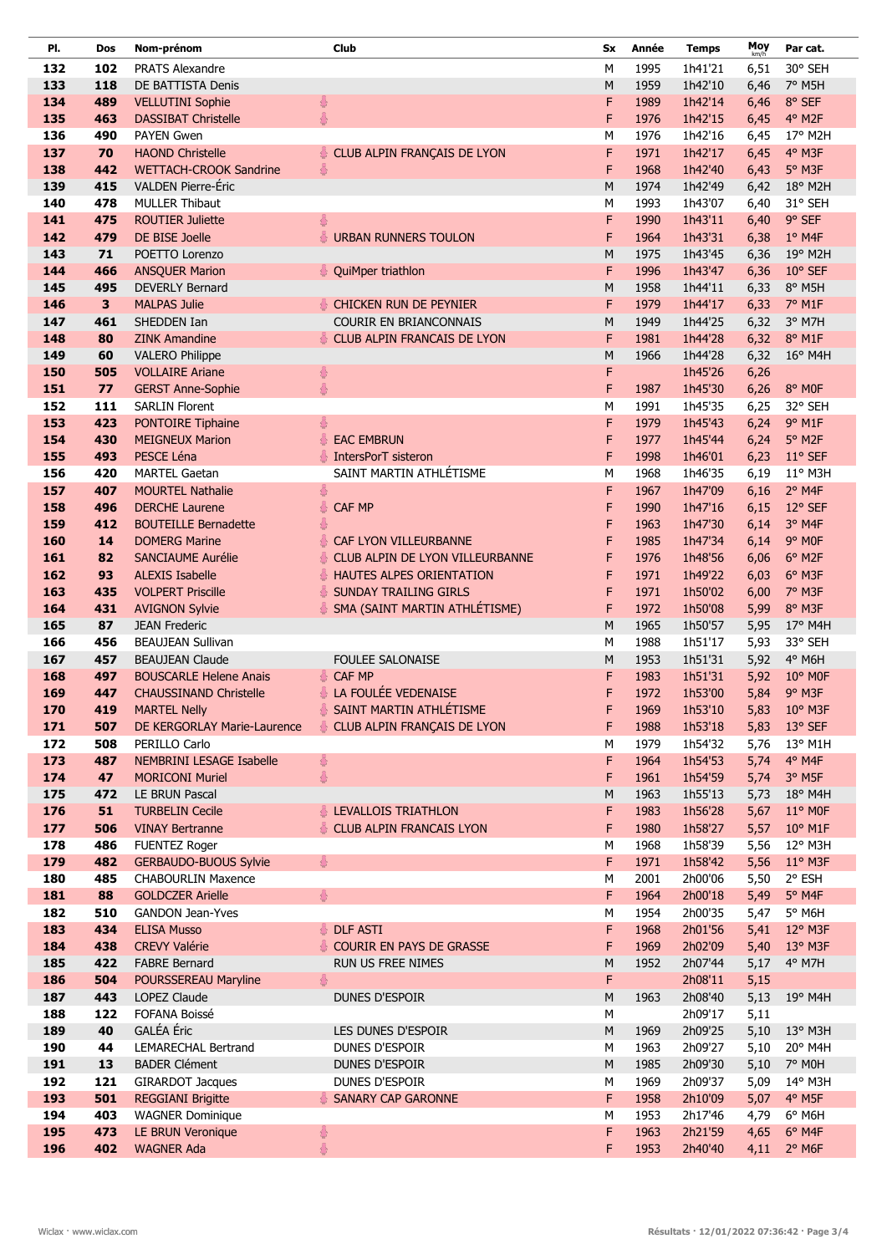| PI.        | Dos                     | Nom-prénom                                       | <b>Club</b>                           | Sx        | Année        | <b>Temps</b>       | Moy<br>km/h  | Par cat.              |
|------------|-------------------------|--------------------------------------------------|---------------------------------------|-----------|--------------|--------------------|--------------|-----------------------|
| 132        | 102                     | <b>PRATS Alexandre</b>                           |                                       | M         | 1995         | 1h41'21            | 6,51         | 30° SEH               |
| 133        | 118                     | DE BATTISTA Denis                                |                                       | ${\sf M}$ | 1959         | 1h42'10            | 6,46         | 7° M5H                |
| 134        | 489                     | <b>VELLUTINI Sophie</b>                          | 8                                     | F         | 1989         | 1h42'14            | 6,46         | 8° SEF                |
| 135        | 463                     | <b>DASSIBAT Christelle</b>                       | $\frac{2}{9}$                         | F         | 1976         | 1h42'15            | 6,45         | 4° M2F                |
| 136        | 490                     | <b>PAYEN Gwen</b>                                |                                       | M         | 1976         | 1h42'16            | 6,45         | 17° M2H               |
| 137        | 70                      | <b>HAOND Christelle</b>                          | CLUB ALPIN FRANÇAIS DE LYON           | F         | 1971         | 1h42'17            | 6,45         | 4° M3F                |
| 138        | 442                     | <b>WETTACH-CROOK Sandrine</b>                    | 용                                     | F         | 1968         | 1h42'40            | 6,43         | 5° M3F                |
| 139        | 415                     | <b>VALDEN Pierre-Éric</b>                        |                                       | M         | 1974         | 1h42'49            | 6,42         | 18° M2H               |
| 140        | 478                     | <b>MULLER Thibaut</b>                            |                                       | M         | 1993         | 1h43'07            | 6,40         | 31° SEH               |
| 141        | 475                     | <b>ROUTIER Juliette</b>                          | 총                                     | F         | 1990         | 1h43'11            | 6,40         | 9° SEF                |
| 142        | 479                     | DE BISE Joelle                                   | 용<br><b>URBAN RUNNERS TOULON</b>      | F         | 1964         | 1h43'31            | 6,38         | 1° M4F                |
| 143        | 71                      | POETTO Lorenzo                                   |                                       | M         | 1975         | 1h43'45            | 6,36         | 19° M2H               |
| 144        | 466                     | <b>ANSQUER Marion</b>                            | QuiMper triathlon                     | F         | 1996         | 1h43'47            | 6,36         | 10° SEF               |
| 145        | 495                     | <b>DEVERLY Bernard</b>                           |                                       | M         | 1958         | 1h44'11            | 6,33         | 8° M5H                |
| 146        | $\overline{\mathbf{3}}$ | <b>MALPAS Julie</b>                              | CHICKEN RUN DE PEYNIER                | F         | 1979         | 1h44'17            | 6,33         | 7° M1F                |
| 147        | 461                     | SHEDDEN Ian                                      | <b>COURIR EN BRIANCONNAIS</b>         | M         | 1949         | 1h44'25            | 6,32         | 3° M7H                |
| 148        | 80                      | <b>ZINK Amandine</b>                             | CLUB ALPIN FRANCAIS DE LYON           | F         | 1981         | 1h44'28            | 6,32         | 8° M1F                |
| 149        | 60                      | <b>VALERO Philippe</b><br><b>VOLLAIRE Ariane</b> |                                       | ${\sf M}$ | 1966         | 1h44'28            | 6,32         | $16^{\circ}$ M4H      |
| 150<br>151 | 505<br>77               | <b>GERST Anne-Sophie</b>                         | 8<br>8                                | F<br>F    | 1987         | 1h45'26<br>1h45'30 | 6,26<br>6,26 | 8° MOF                |
| 152        | 111                     | <b>SARLIN Florent</b>                            |                                       | M         | 1991         | 1h45'35            | 6,25         | 32° SEH               |
| 153        | 423                     | PONTOIRE Tiphaine                                | 8                                     | F         | 1979         | 1h45'43            | 6,24         | 9° M1F                |
| 154        | 430                     | <b>MEIGNEUX Marion</b>                           | 용<br><b>EAC EMBRUN</b>                | F         | 1977         | 1h45'44            | 6,24         | 5° M2F                |
| 155        | 493                     | PESCE Léna                                       | IntersPorT sisteron<br>春              | F         | 1998         | 1h46'01            | 6,23         | 11° SEF               |
| 156        | 420                     | <b>MARTEL Gaetan</b>                             | SAINT MARTIN ATHLÉTISME               | M         | 1968         | 1h46'35            | 6,19         | 11° M3H               |
| 157        | 407                     | <b>MOURTEL Nathalie</b>                          | 8                                     | F         | 1967         | 1h47'09            | 6,16         | 2° M4F                |
| 158        | 496                     | <b>DERCHE Laurene</b>                            | 8<br>CAF MP                           | F         | 1990         | 1h47'16            | 6,15         | 12° SEF               |
| 159        | 412                     | <b>BOUTEILLE Bernadette</b>                      | 8                                     | F         | 1963         | 1h47'30            | 6,14         | 3° M4F                |
| 160        | 14                      | <b>DOMERG Marine</b>                             | CAF LYON VILLEURBANNE                 | F         | 1985         | 1h47'34            | 6,14         | 9° MOF                |
| 161        | 82                      | <b>SANCIAUME Aurélie</b>                         | CLUB ALPIN DE LYON VILLEURBANNE<br>총  | F         | 1976         | 1h48'56            | 6,06         | 6° M2F                |
| 162        | 93                      | <b>ALEXIS Isabelle</b>                           | HAUTES ALPES ORIENTATION<br>총         | F         | 1971         | 1h49'22            | 6,03         | 6° M3F                |
| 163        | 435                     | <b>VOLPERT Priscille</b>                         | <b>SUNDAY TRAILING GIRLS</b><br>총     | F         | 1971         | 1h50'02            | 6,00         | 7° M3F                |
| 164        | 431                     | <b>AVIGNON Sylvie</b>                            | SMA (SAINT MARTIN ATHLÉTISME)<br>총    | F         | 1972         | 1h50'08            | 5,99         | 8° M3F                |
| 165        | 87                      | <b>JEAN Frederic</b>                             |                                       | M         | 1965         | 1h50'57            | 5,95         | $17^{\circ}$ M4H      |
| 166        | 456                     | <b>BEAUJEAN Sullivan</b>                         |                                       | M         | 1988         | 1h51'17            | 5,93         | 33° SEH               |
| 167        | 457                     | <b>BEAUJEAN Claude</b>                           | <b>FOULEE SALONAISE</b>               | ${\sf M}$ | 1953         | 1h51'31            | 5,92         | 4° M6H                |
| 168        | 497                     | <b>BOUSCARLE Helene Anais</b>                    | CAF MP<br>중                           | F         | 1983         | 1h51'31            | 5,92         | $10^{\circ}$ MOF      |
| 169        | 447                     | <b>CHAUSSINAND Christelle</b>                    | <b>&amp; LA FOULÉE VEDENAISE</b>      | F         | 1972         | 1h53'00            | 5,84         | 9° M3F                |
| 170        | 419                     | <b>MARTEL Nelly</b>                              | SAINT MARTIN ATHLÉTISME               | F         | 1969         | 1h53'10            |              | 5,83 10° M3F          |
| 171        | 507                     | DE KERGORLAY Marie-Laurence                      | CLUB ALPIN FRANÇAIS DE LYON           | F         | 1988         | 1h53'18            | 5,83         | $13^{\circ}$ SEF      |
| 172<br>173 | 508<br>487              | PERILLO Carlo<br>NEMBRINI LESAGE Isabelle        | $\frac{8}{9}$                         | M<br>F    | 1979<br>1964 | 1h54'32<br>1h54'53 | 5,76<br>5,74 | 13° M1H<br>4° M4F     |
| 174        | 47                      | <b>MORICONI Muriel</b>                           | 春                                     | F         | 1961         | 1h54'59            | 5,74         | $3°$ M <sub>5F</sub>  |
| 175        | 472                     | <b>LE BRUN Pascal</b>                            |                                       | M         | 1963         | 1h55'13            | 5,73         | $18^{\circ}$ M4H      |
| 176        | 51                      | <b>TURBELIN Cecile</b>                           | LEVALLOIS TRIATHLON                   | F         | 1983         | 1h56'28            | 5,67         | $11^{\circ}$ MOF      |
| 177        | 506                     | <b>VINAY Bertranne</b>                           | CLUB ALPIN FRANCAIS LYON              | F         | 1980         | 1h58'27            | 5,57         | $10^{\circ}$ M1F      |
| 178        | 486                     | <b>FUENTEZ Roger</b>                             |                                       | М         | 1968         | 1h58'39            | 5,56         | 12° M3H               |
| 179        | 482                     | <b>GERBAUDO-BUOUS Sylvie</b>                     | 8                                     | F         | 1971         | 1h58'42            | 5,56         | $11^{\circ}$ M3F      |
| 180        | 485                     | <b>CHABOURLIN Maxence</b>                        |                                       | М         | 2001         | 2h00'06            | 5,50         | 2° ESH                |
| 181        | 88                      | <b>GOLDCZER Arielle</b>                          | $\frac{2}{\sqrt{2}}$                  | F         | 1964         | 2h00'18            | 5,49         | 5° M4F                |
| 182        | 510                     | <b>GANDON Jean-Yves</b>                          |                                       | М         | 1954         | 2h00'35            | 5,47         | 5° M6H                |
| 183        | 434                     | <b>ELISA Musso</b>                               | <b>DLF ASTI</b>                       | F         | 1968         | 2h01'56            | 5,41         | $12^{\circ}$ M3F      |
| 184        | 438                     | <b>CREVY Valérie</b>                             | <b>COURIR EN PAYS DE GRASSE</b><br>春. | F         | 1969         | 2h02'09            | 5,40         | $13^{\circ}$ M3F      |
| 185        | 422                     | <b>FABRE Bernard</b>                             | RUN US FREE NIMES                     | ${\sf M}$ | 1952         | 2h07'44            | 5,17         | 4° M7H                |
| 186        | 504                     | POURSSEREAU Maryline                             | 8                                     | F         |              | 2h08'11            | 5,15         |                       |
| 187        | 443                     | LOPEZ Claude                                     | DUNES D'ESPOIR                        | ${\sf M}$ | 1963         | 2h08'40            | 5,13         | 19° M4H               |
| 188        | 122                     | FOFANA Boissé                                    |                                       | M         |              | 2h09'17            | 5,11         |                       |
| 189        | 40                      | GALÉA Éric                                       | LES DUNES D'ESPOIR                    | M         | 1969         | 2h09'25            | 5,10         | 13° M3H               |
| 190        | 44                      | <b>LEMARECHAL Bertrand</b>                       | DUNES D'ESPOIR                        | М         | 1963         | 2h09'27            | 5,10         | 20° M4H               |
| 191        | 13                      | <b>BADER Clément</b>                             | DUNES D'ESPOIR                        | ${\sf M}$ | 1985         | 2h09'30            | 5,10         | 7° MOH                |
| 192        | 121                     | <b>GIRARDOT Jacques</b>                          | DUNES D'ESPOIR                        | М         | 1969         | 2h09'37            | 5,09         | 14° M3H               |
| 193        | 501                     | <b>REGGIANI Brigitte</b>                         | <b>SANARY CAP GARONNE</b>             | F         | 1958         | 2h10'09            | 5,07         | 4° M5F                |
| 194        | 403                     | <b>WAGNER Dominique</b>                          |                                       | М         | 1953         | 2h17'46            | 4,79         | $6^{\circ}$ M6H       |
| 195<br>196 | 473<br>402              | LE BRUN Veronique<br><b>WAGNER Ada</b>           | $\frac{2}{9}$<br>8                    | F<br>F    | 1963<br>1953 | 2h21'59<br>2h40'40 | 4,65         | 6° M4F<br>4,11 2° M6F |
|            |                         |                                                  |                                       |           |              |                    |              |                       |